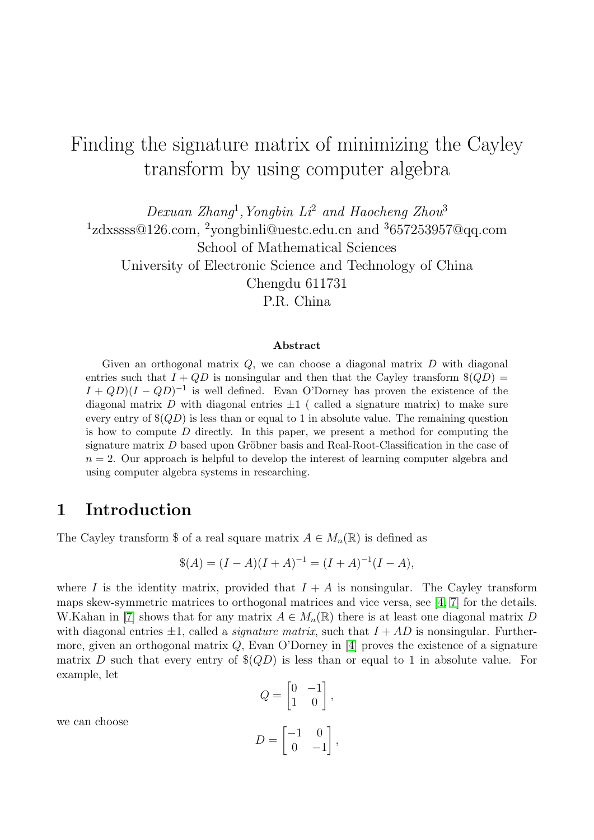# Finding the signature matrix of minimizing the Cayley transform by using computer algebra

Dexuan Zhang<sup>1</sup>, Yongbin Li<sup>2</sup> and Haocheng Zhou<sup>3</sup> <sup>1</sup>zdxssss@126.com, <sup>2</sup>yongbinli@uestc.edu.cn and <sup>3</sup>657253957@qq.com School of Mathematical Sciences University of Electronic Science and Technology of China Chengdu 611731

P.R. China

#### Abstract

Given an orthogonal matrix  $Q$ , we can choose a diagonal matrix  $D$  with diagonal entries such that  $I + QD$  is nonsingular and then that the Cayley transform  $\$(QD) =$  $I + QD$  $(I - QD)^{-1}$  is well defined. Evan O'Dorney has proven the existence of the diagonal matrix D with diagonal entries  $\pm 1$  (called a signature matrix) to make sure every entry of  $\$(QD)$  is less than or equal to 1 in absolute value. The remaining question is how to compute  $D$  directly. In this paper, we present a method for computing the signature matrix  $D$  based upon Gröbner basis and Real-Root-Classification in the case of  $n = 2$ . Our approach is helpful to develop the interest of learning computer algebra and using computer algebra systems in researching.

### 1 Introduction

The Cayley transform \$ of a real square matrix  $A \in M_n(\mathbb{R})$  is defined as

$$
$(A) = (I - A)(I + A)^{-1} = (I + A)^{-1}(I - A),
$$

where I is the identity matrix, provided that  $I + A$  is nonsingular. The Cayley transform maps skew-symmetric matrices to orthogonal matrices and vice versa, see [\[4,](#page-5-0) [7\]](#page-6-0) for the details. W.Kahan in [\[7\]](#page-6-0) shows that for any matrix  $A \in M_n(\mathbb{R})$  there is at least one diagonal matrix D with diagonal entries  $\pm 1$ , called a *signature matrix*, such that  $I + AD$  is nonsingular. Furthermore, given an orthogonal matrix Q, Evan O'Dorney in [\[4\]](#page-5-0) proves the existence of a signature matrix D such that every entry of  $\$(QD)$  is less than or equal to 1 in absolute value. For example, let

$$
Q = \begin{bmatrix} 0 & -1 \\ 1 & 0 \end{bmatrix},
$$

$$
D = \begin{bmatrix} -1 & 0 \\ 0 & -1 \end{bmatrix},
$$

we can choose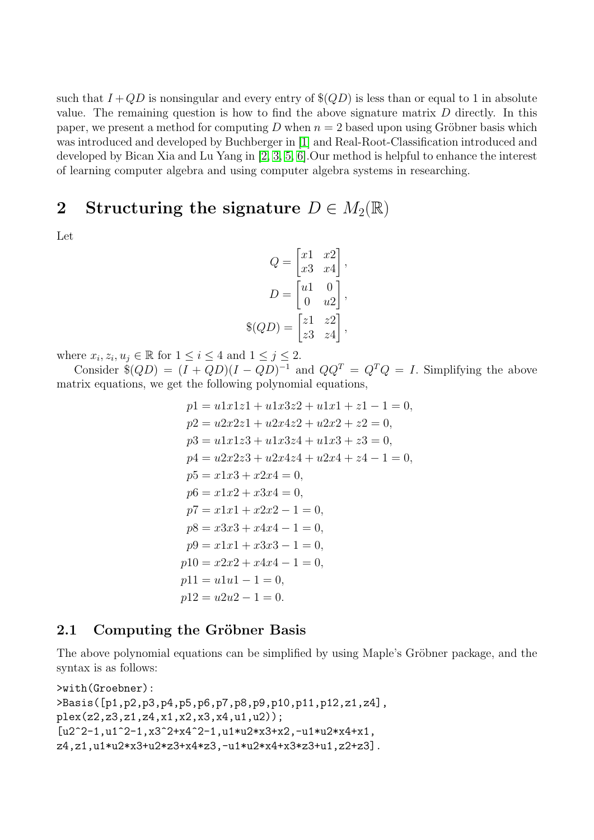such that  $I + QD$  is nonsingular and every entry of  $\$(QD)$  is less than or equal to 1 in absolute value. The remaining question is how to find the above signature matrix  $D$  directly. In this paper, we present a method for computing D when  $n = 2$  based upon using Gröbner basis which was introduced and developed by Buchberger in [\[1\]](#page-5-1) and Real-Root-Classification introduced and developed by Bican Xia and Lu Yang in [\[2,](#page-5-2) [3,](#page-5-3) [5,](#page-5-4) [6\]](#page-5-5).Our method is helpful to enhance the interest of learning computer algebra and using computer algebra systems in researching.

## 2 Structuring the signature  $D \in M_2(\mathbb{R})$

Let

$$
Q = \begin{bmatrix} x1 & x2 \\ x3 & x4 \end{bmatrix},
$$

$$
D = \begin{bmatrix} u1 & 0 \\ 0 & u2 \end{bmatrix},
$$

$$
\$(QD) = \begin{bmatrix} z1 & z2 \\ z3 & z4 \end{bmatrix},
$$

where  $x_i, z_i, u_j \in \mathbb{R}$  for  $1 \leq i \leq 4$  and  $1 \leq j \leq 2$ .

Consider  $\$(QD) = (I + QD)(I - QD)^{-1}$  and  $QQ^{T} = Q^{T}Q = I$ . Simplifying the above matrix equations, we get the following polynomial equations,

$$
p1 = u1x1z1 + u1x3z2 + u1x1 + z1 - 1 = 0,
$$
  
\n
$$
p2 = u2x2z1 + u2x4z2 + u2x2 + z2 = 0,
$$
  
\n
$$
p3 = u1x1z3 + u1x3z4 + u1x3 + z3 = 0,
$$
  
\n
$$
p4 = u2x2z3 + u2x4z4 + u2x4 + z4 - 1 = 0,
$$
  
\n
$$
p5 = x1x3 + x2x4 = 0,
$$
  
\n
$$
p6 = x1x2 + x3x4 = 0,
$$
  
\n
$$
p7 = x1x1 + x2x2 - 1 = 0,
$$
  
\n
$$
p8 = x3x3 + x4x4 - 1 = 0,
$$
  
\n
$$
p9 = x1x1 + x3x3 - 1 = 0,
$$
  
\n
$$
p10 = x2x2 + x4x4 - 1 = 0,
$$
  
\n
$$
p11 = u1u1 - 1 = 0,
$$
  
\n
$$
p12 = u2u2 - 1 = 0.
$$

#### 2.1 Computing the Gröbner Basis

The above polynomial equations can be simplified by using Maple's Gröbner package, and the syntax is as follows:

```
>with(Groebner):
>Basis([p1,p2,p3,p4,p5,p6,p7,p8,p9,p10,p11,p12,z1,z4],
plex(z2,z3,z1,z4,x1,x2,x3,x4,u1,u2));
[u2^2-1,u1^2-1,x3^2+x4^2-1,u1*u2*x3+x2,-u1*u2*x4+x1,z4,z1,u1*u2*x3+u2*z3+x4*z3,-u1*u2*x4+x3*z3+u1,z2+z3].
```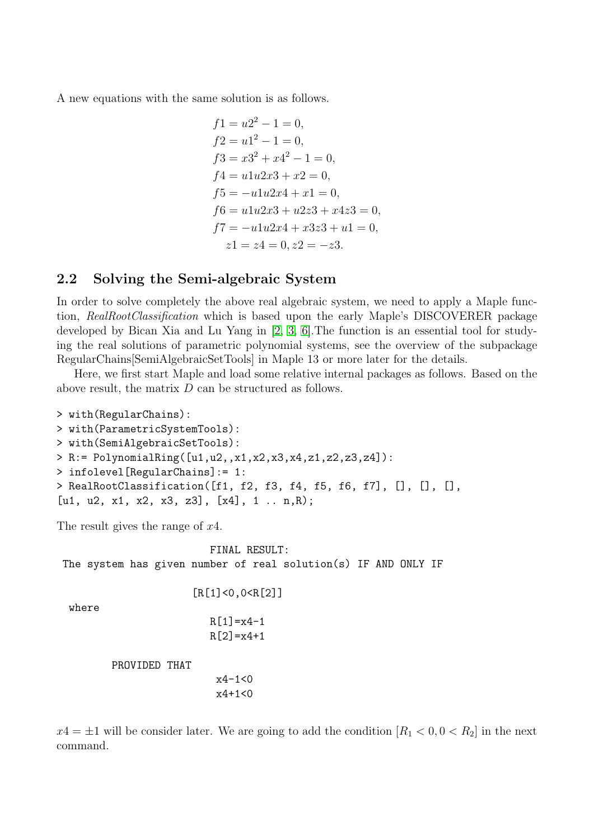A new equations with the same solution is as follows.

$$
f1 = u2^2 - 1 = 0,
$$
  
\n
$$
f2 = u1^2 - 1 = 0,
$$
  
\n
$$
f3 = x3^2 + x4^2 - 1 = 0,
$$
  
\n
$$
f4 = u1u2x3 + x2 = 0,
$$
  
\n
$$
f5 = -u1u2x4 + x1 = 0,
$$
  
\n
$$
f6 = u1u2x3 + u2z3 + x4z3 = 0,
$$
  
\n
$$
f7 = -u1u2x4 + x3z3 + u1 = 0,
$$
  
\n
$$
z1 = z4 = 0, z2 = -z3.
$$

### 2.2 Solving the Semi-algebraic System

In order to solve completely the above real algebraic system, we need to apply a Maple function, RealRootClassification which is based upon the early Maple's DISCOVERER package developed by Bican Xia and Lu Yang in [\[2,](#page-5-2) [3,](#page-5-3) [6\]](#page-5-5).The function is an essential tool for studying the real solutions of parametric polynomial systems, see the overview of the subpackage RegularChains[SemiAlgebraicSetTools] in Maple 13 or more later for the details.

Here, we first start Maple and load some relative internal packages as follows. Based on the above result, the matrix D can be structured as follows.

```
> with(RegularChains):
> with(ParametricSystemTools):
> with(SemiAlgebraicSetTools):
> R:= PolynomialRing([u1,u2,,x1,x2,x3,x4,z1,z2,z3,z4]):
> infolevel[RegularChains]:= 1:
> RealRootClassification([f1, f2, f3, f4, f5, f6, f7], [], [], [],
[u1, u2, x1, x2, x3, z3], [x4], 1 .. n,R);
```
The result gives the range of  $x_4$ .

FINAL RESULT: The system has given number of real solution(s) IF AND ONLY IF

[R[1]<0,0<R[2]]

where

```
R[1]=x4-1R[2] = x4+1
```
PROVIDED THAT

x4-1<0  $x4+1<0$ 

 $x4 = \pm 1$  will be consider later. We are going to add the condition  $[R_1 < 0, 0 < R_2]$  in the next command.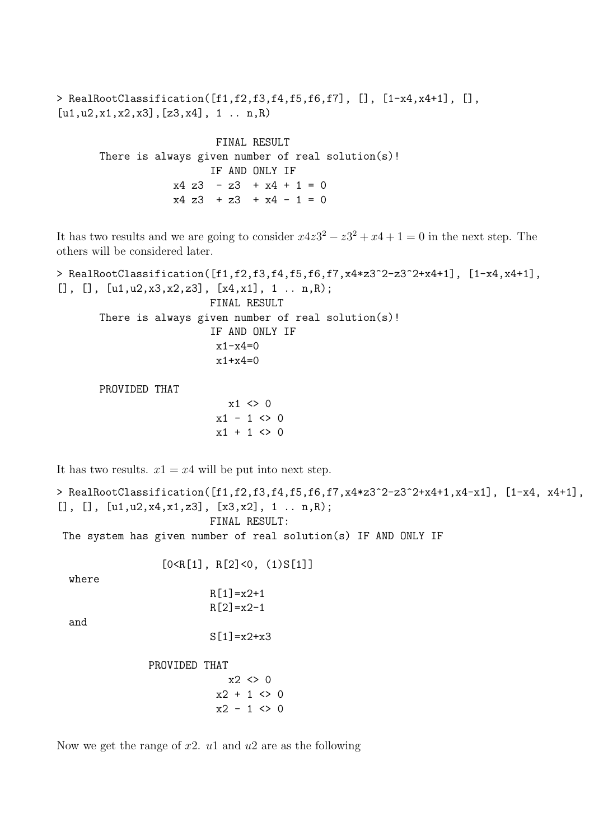> RealRootClassification([f1,f2,f3,f4,f5,f6,f7], [], [1-x4,x4+1], [],  $[u1, u2, x1, x2, x3], [z3, x4], 1...n, R)$ 

> FINAL RESULT There is always given number of real solution(s)! IF AND ONLY IF  $x4$  z3 - z3 +  $x4$  + 1 = 0  $x4$  z3 + z3 +  $x4$  - 1 = 0

It has two results and we are going to consider  $x4z3^2 - z3^2 + x4 + 1 = 0$  in the next step. The others will be considered later.

> RealRootClassification([f1,f2,f3,f4,f5,f6,f7,x4\*z3^2-z3^2+x4+1], [1-x4,x4+1],  $[$ ],  $[$ ],  $[u1, u2, x3, x2, z3]$ ,  $[x4, x1]$ , 1 . . n,R); FINAL RESULT There is always given number of real solution(s)! IF AND ONLY IF  $x1-x4=0$ x1+x4=0 PROVIDED THAT  $x1 \leftrightarrow 0$  $x1 - 1 < 0$  $x1 + 1 \Leftrightarrow 0$ It has two results.  $x1 = x4$  will be put into next step. > RealRootClassification([f1,f2,f3,f4,f5,f6,f7,x4\*z3^2-z3^2+x4+1,x4-x1], [1-x4, x4+1],  $[$ ],  $[$ ],  $[u1, u2, x4, x1, z3]$ ,  $[x3, x2]$ , 1 .. n,R); FINAL RESULT: The system has given number of real solution(s) IF AND ONLY IF  $[0 < R[1], R[2] < 0, (1) S[1]]$ where  $R[1]=x2+1$  $R[2]=x2-1$ and  $S[1]=x2+x3$ PROVIDED THAT  $x2 \leftrightarrow 0$  $x2 + 1 \Leftrightarrow 0$ 

Now we get the range of  $x2$ .  $u1$  and  $u2$  are as the following

 $x2 - 1 \Leftrightarrow 0$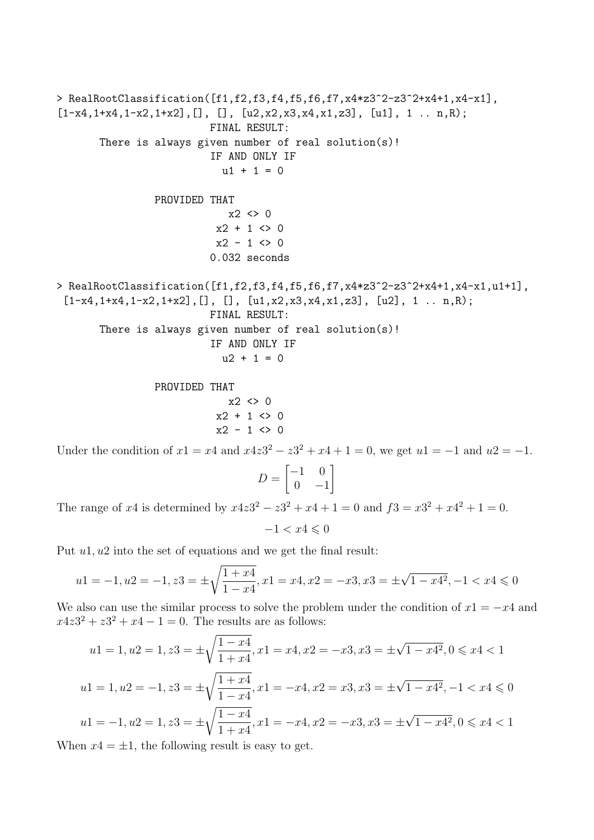```
> RealRootClassification([f1,f2,f3,f4,f5,f6,f7,x4*z3^2-z3^2+x4+1,x4-x1],
[1-x4, 1+x4, 1-x2, 1+x2], [], [1, [u2, x2, x3, x4, x1, z3], [u1], 1 ... n, R);FINAL RESULT:
       There is always given number of real solution(s)!
                            IF AND ONLY IF
                              u1 + 1 = 0PROVIDED THAT
                               x2 \leftrightarrow 0x2 + 1 \Leftrightarrow 0x2 - 1 \Leftrightarrow 00.032 seconds
> RealRootClassification([f1,f2,f3,f4,f5,f6,f7,x4*z3^2-z3^2+x4+1,x4-x1,u1+1],
 [1-x4, 1+x4, 1-x2, 1+x2], [], [], [u1, x2, x3, x4, x1, z3], [u2], 1 ... n, R);FINAL RESULT:
       There is always given number of real solution(s)!
                            IF AND ONLY IF
                              u2 + 1 = 0PROVIDED THAT
```
 $x2 \leftrightarrow 0$  $x2 + 1 \Leftrightarrow 0$  $x2 - 1 \Leftrightarrow 0$ 

Under the condition of  $x1 = x4$  and  $x4z3^2 - z3^2 + x4 + 1 = 0$ , we get  $u1 = -1$  and  $u2 = -1$ .

$$
D = \begin{bmatrix} -1 & 0 \\ 0 & -1 \end{bmatrix}
$$

The range of x4 is determined by  $x4z3^2 - z3^2 + x4 + 1 = 0$  and  $f3 = x3^2 + x4^2 + 1 = 0$ .

 $-1 < x4 \leqslant 0$ 

Put  $u_1, u_2$  into the set of equations and we get the final result:

$$
u1 = -1, u2 = -1, z3 = \pm \sqrt{\frac{1+x4}{1-x4}}, x1 = x4, x2 = -x3, x3 = \pm \sqrt{1-x4^2}, -1 < x4 \le 0
$$

We also can use the similar process to solve the problem under the condition of  $x1 = -x4$  and  $x4z3^2 + z3^2 + x4 - 1 = 0$ . The results are as follows:

$$
u1 = 1, u2 = 1, z3 = \pm \sqrt{\frac{1 - x4}{1 + x4}}, x1 = x4, x2 = -x3, x3 = \pm \sqrt{1 - x4^2}, 0 \le x4 < 1
$$
  

$$
u1 = 1, u2 = -1, z3 = \pm \sqrt{\frac{1 + x4}{1 - x4}}, x1 = -x4, x2 = x3, x3 = \pm \sqrt{1 - x4^2}, -1 < x4 \le 0
$$
  

$$
u1 = -1, u2 = 1, z3 = \pm \sqrt{\frac{1 - x4}{1 + x4}}, x1 = -x4, x2 = -x3, x3 = \pm \sqrt{1 - x4^2}, 0 \le x4 < 1
$$

When  $x_4 = \pm 1$ , the following result is easy to get.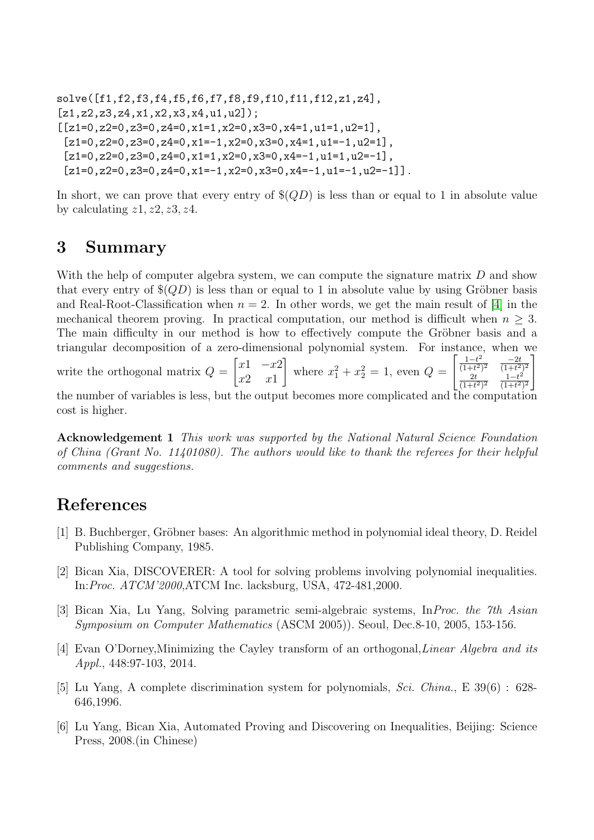```
solve([f1,f2,f3,f4,f5,f6,f7,f8,f9,f10,f11,f12,z1,z4],
[z1, z2, z3, z4, x1, x2, x3, x4, u1, u2];
[[z1=0,z2=0,z3=0,z4=0,x1=1,x2=0,x3=0,x4=1,u1=1,u2=1],[z1=0, z2=0, z3=0, z4=0, x1=-1, x2=0, x3=0, x4=1, u1=-1, u2=1],
 [z1=0, z2=0, z3=0, z4=0, x1=1, x2=0, x3=0, x4=-1, u1=1, u2=-1][z1=0, z2=0, z3=0, z4=0, x1=-1, x2=0, x3=0, x4=-1, u1=-1, u2=-1].
```
In short, we can prove that every entry of  $\$(QD)$  is less than or equal to 1 in absolute value by calculating  $z1, z2, z3, z4$ .

# 3 Summary

With the help of computer algebra system, we can compute the signature matrix D and show that every entry of  $\$(QD)$  is less than or equal to 1 in absolute value by using Gröbner basis and Real-Root-Classification when  $n = 2$ . In other words, we get the main result of [\[4\]](#page-5-0) in the mechanical theorem proving. In practical computation, our method is difficult when  $n \geq 3$ . The main difficulty in our method is how to effectively compute the Gröbner basis and a triangular decomposition of a zero-dimensional polynomial system. For instance, when we write the orthogonal matrix  $Q =$  $\begin{bmatrix} x1 & -x2 \end{bmatrix}$  $x2 \quad x1$ 1 where  $x_1^2 + x_2^2 = 1$ , even  $Q =$  $\left[\frac{1-t^2}{(1-t^2)^2}\right]$  $\frac{1-t^2}{(1+t^2)^2}$   $\frac{-2t}{(1+t^2)}$  $\sqrt{(1+t^2)^2}$ 2t  $\frac{2t}{(1+t^2)^2}$   $\frac{1-t^2}{(1+t^2)}$  $\sqrt{(1+t^2)^2}$ 1 the number of variables is less, but the output becomes more complicated and the computation cost is higher.

Acknowledgement 1 This work was supported by the National Natural Science Foundation of China (Grant No. 11401080). The authors would like to thank the referees for their helpful comments and suggestions.

# References

- <span id="page-5-1"></span>[1] B. Buchberger, Gröbner bases: An algorithmic method in polynomial ideal theory, D. Reidel Publishing Company, 1985.
- <span id="page-5-2"></span>[2] Bican Xia, DISCOVERER: A tool for solving problems involving polynomial inequalities. In:Proc. ATCM'2000,ATCM Inc. lacksburg, USA, 472-481,2000.
- <span id="page-5-3"></span>[3] Bican Xia, Lu Yang, Solving parametric semi-algebraic systems, InProc. the 7th Asian Symposium on Computer Mathematics (ASCM 2005)). Seoul, Dec.8-10, 2005, 153-156.
- <span id="page-5-0"></span>[4] Evan O'Dorney,Minimizing the Cayley transform of an orthogonal,Linear Algebra and its Appl., 448:97-103, 2014.
- <span id="page-5-4"></span>[5] Lu Yang, A complete discrimination system for polynomials, Sci. China., E 39(6) : 628- 646,1996.
- <span id="page-5-5"></span>[6] Lu Yang, Bican Xia, Automated Proving and Discovering on Inequalities, Beijing: Science Press, 2008.(in Chinese)